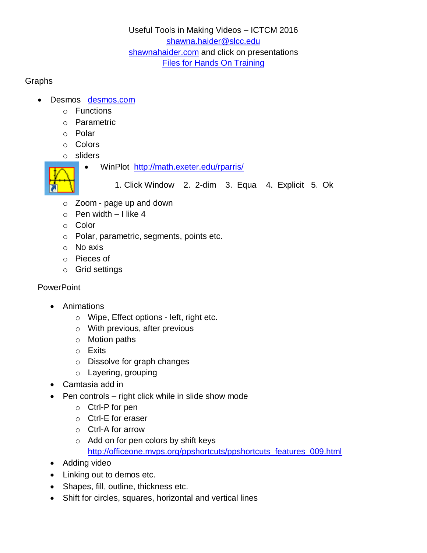### Useful Tools in Making Videos – ICTCM 2016 [shawna.haider@slcc.edu](mailto:shawna.haider@slcc.edu) [shawnahaider.com](http://shawnahaider.com/) and click on presentations [Files for Hands On Training](https://drive.google.com/open?id=0B8TUXopzakSXLTFYVlliTEQwX3M)

#### **Graphs**

- Desmos [desmos.com](https://www.desmos.com/)
	- o Functions
	- o Parametric
	- o Polar
	- o Colors
	- o sliders
	-
- WinPlot <http://math.exeter.edu/rparris/>

1. Click Window 2. 2-dim 3. Equa 4. Explicit 5. Ok

- o Zoom page up and down
- $\circ$  Pen width I like 4
- o Color
- o Polar, parametric, segments, points etc.
- o No axis
- o Pieces of
- o Grid settings

# **PowerPoint**

- Animations
	- o Wipe, Effect options left, right etc.
	- o With previous, after previous
	- o Motion paths
	- o Exits
	- o Dissolve for graph changes
	- o Layering, grouping
- Camtasia add in
- $\bullet$  Pen controls right click while in slide show mode
	- o Ctrl-P for pen
	- o Ctrl-E for eraser
	- o Ctrl-A for arrow
	- o Add on for pen colors by shift keys [http://officeone.mvps.org/ppshortcuts/ppshortcuts\\_features\\_009.html](http://officeone.mvps.org/ppshortcuts/ppshortcuts_features_009.html)
- Adding video
- Linking out to demos etc.
- Shapes, fill, outline, thickness etc.
- Shift for circles, squares, horizontal and vertical lines